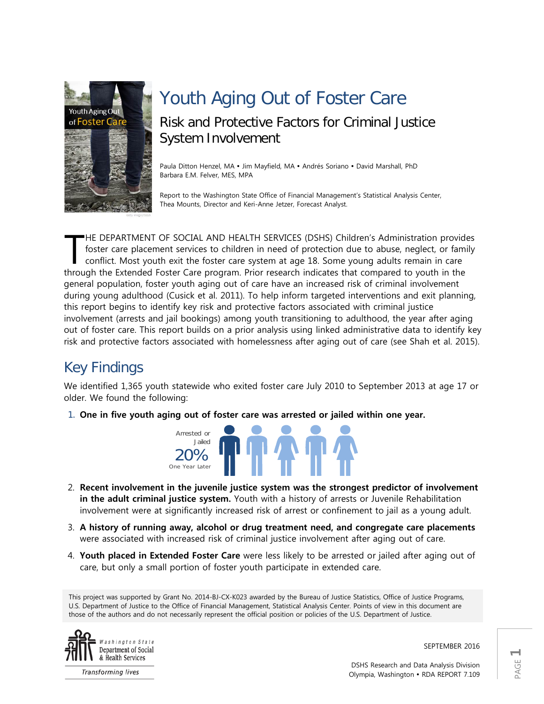

# Youth Aging Out of Foster Care Risk and Protective Factors for Criminal Justice System Involvement

Paula Ditton Henzel, MA · Jim Mayfield, MA · Andrés Soriano · David Marshall, PhD Barbara E.M. Felver, MES, MPA

Report to the Washington State Office of Financial Management's Statistical Analysis Center, Thea Mounts, Director and Keri-Anne Jetzer, Forecast Analyst.

HE DEPARTMENT OF SOCIAL AND HEALTH SERVICES (DSHS) Children's Administration provides foster care placement services to children in need of protection due to abuse, neglect, or family conflict. Most youth exit the foster care system at age 18. Some young adults remain in care HE DEPARTMENT OF SOCIAL AND HEALTH SERVICES (DSHS) Children's Administration provide<br>foster care placement services to children in need of protection due to abuse, neglect, or fami<br>conflict. Most youth exit the foster care general population, foster youth aging out of care have an increased risk of criminal involvement during young adulthood (Cusick et al. 2011). To help inform targeted interventions and exit planning, this report begins to identify key risk and protective factors associated with criminal justice involvement (arrests and jail bookings) among youth transitioning to adulthood, the year after aging out of foster care. This report builds on a prior analysis using linked administrative data to identify key risk and protective factors associated with homelessness after aging out of care (see Shah et al. 2015).

## Key Findings

We identified 1,365 youth statewide who exited foster care July 2010 to September 2013 at age 17 or older. We found the following:

1. **One in five youth aging out of foster care was arrested or jailed within one year.** 



- 2. **Recent involvement in the juvenile justice system was the strongest predictor of involvement in the adult criminal justice system.** Youth with a history of arrests or Juvenile Rehabilitation involvement were at significantly increased risk of arrest or confinement to jail as a young adult.
- 3. **A history of running away, alcohol or drug treatment need, and congregate care placements**  were associated with increased risk of criminal justice involvement after aging out of care.
- 4. **Youth placed in Extended Foster Care** were less likely to be arrested or jailed after aging out of care, but only a small portion of foster youth participate in extended care.

This project was supported by Grant No. 2014-BJ-CX-K023 awarded by the Bureau of Justice Statistics, Office of Justice Programs, U.S. Department of Justice to the Office of Financial Management, Statistical Analysis Center. Points of view in this document are those of the authors and do not necessarily represent the official position or policies of the U.S. Department of Justice.



**Transforming lives** 

SEPTEMBER 2016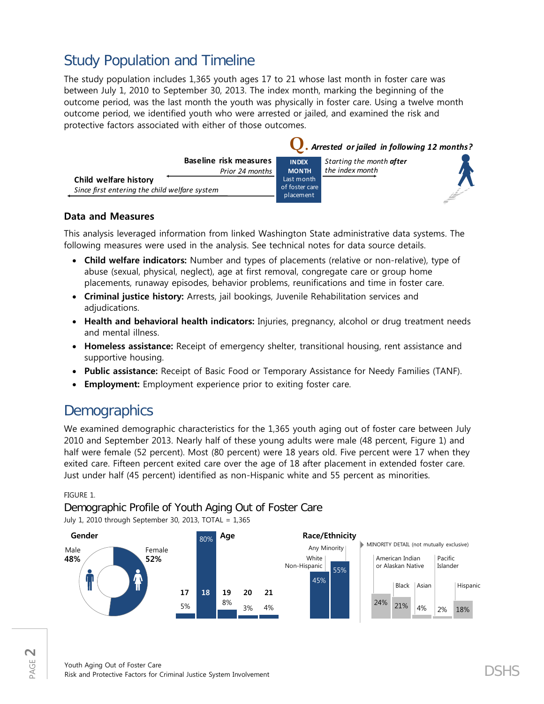## Study Population and Timeline

The study population includes 1,365 youth ages 17 to 21 whose last month in foster care was between July 1, 2010 to September 30, 2013. The index month, marking the beginning of the outcome period, was the last month the youth was physically in foster care. Using a twelve month outcome period, we identified youth who were arrested or jailed, and examined the risk and protective factors associated with either of those outcomes.

|                                                                        |                                           | <b>U</b> . Arrested or jailed in following 12 months? |                                             |  |
|------------------------------------------------------------------------|-------------------------------------------|-------------------------------------------------------|---------------------------------------------|--|
|                                                                        | Baseline risk measures<br>Prior 24 months | <b>INDEX</b><br><b>MONTH</b>                          | Starting the month after<br>the index month |  |
| Child welfare history<br>Since first entering the child welfare system |                                           | Last month<br>of foster care<br>placement             |                                             |  |

### **Data and Measures**

This analysis leveraged information from linked Washington State administrative data systems. The following measures were used in the analysis. See technical notes for data source details.

- **Child welfare indicators:** Number and types of placements (relative or non-relative), type of abuse (sexual, physical, neglect), age at first removal, congregate care or group home placements, runaway episodes, behavior problems, reunifications and time in foster care.
- **Criminal justice history:** Arrests, jail bookings, Juvenile Rehabilitation services and adjudications.
- **Health and behavioral health indicators:** Injuries, pregnancy, alcohol or drug treatment needs and mental illness.
- **Homeless assistance:** Receipt of emergency shelter, transitional housing, rent assistance and supportive housing.
- **Public assistance:** Receipt of Basic Food or Temporary Assistance for Needy Families (TANF).
- **Employment:** Employment experience prior to exiting foster care.

## **Demographics**

We examined demographic characteristics for the 1,365 youth aging out of foster care between July 2010 and September 2013. Nearly half of these young adults were male (48 percent, Figure 1) and half were female (52 percent). Most (80 percent) were 18 years old. Five percent were 17 when they exited care. Fifteen percent exited care over the age of 18 after placement in extended foster care. Just under half (45 percent) identified as non-Hispanic white and 55 percent as minorities.

### FIGURE 1.

### Demographic Profile of Youth Aging Out of Foster Care

July 1, 2010 through September 30, 2013, TOTAL = 1,365

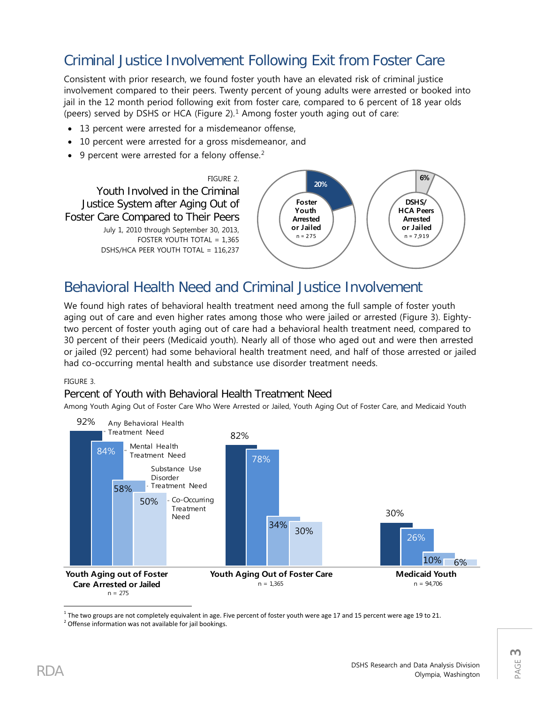## Criminal Justice Involvement Following Exit from Foster Care

Consistent with prior research, we found foster youth have an elevated risk of criminal justice involvement compared to their peers. Twenty percent of young adults were arrested or booked into jail in the 12 month period following exit from foster care, compared to 6 percent of 18 year olds (peers) served by DSHS or HCA (Figure  $2$ ).<sup>[1](#page-2-0)</sup> Among foster youth aging out of care:

- 13 percent were arrested for a misdemeanor offense,
- 10 percent were arrested for a gross misdemeanor, and
- 9 percent were arrested for a felony offense.<sup>[2](#page-2-1)</sup>



## Behavioral Health Need and Criminal Justice Involvement

We found high rates of behavioral health treatment need among the full sample of foster youth aging out of care and even higher rates among those who were jailed or arrested (Figure 3). Eightytwo percent of foster youth aging out of care had a behavioral health treatment need, compared to 30 percent of their peers (Medicaid youth). Nearly all of those who aged out and were then arrested or jailed (92 percent) had some behavioral health treatment need, and half of those arrested or jailed had co-occurring mental health and substance use disorder treatment needs.

### FIGURE 3.

### Percent of Youth with Behavioral Health Treatment Need

Among Youth Aging Out of Foster Care Who Were Arrested or Jailed, Youth Aging Out of Foster Care, and Medicaid Youth



<span id="page-2-1"></span><span id="page-2-0"></span><sup>1</sup> The two groups are not completely equivalent in age. Five percent of foster youth were age 17 and 15 percent were age 19 to 21.<br><sup>2</sup> Offense information was not available for jail bookings.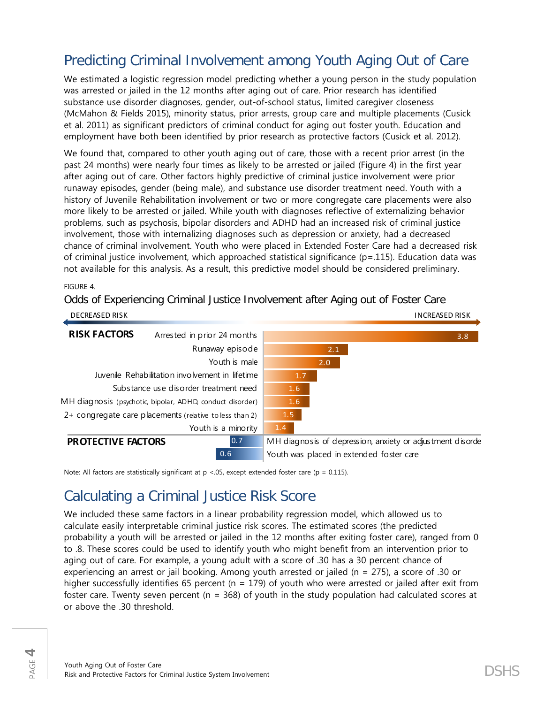## Predicting Criminal Involvement among Youth Aging Out of Care

We estimated a logistic regression model predicting whether a young person in the study population was arrested or jailed in the 12 months after aging out of care. Prior research has identified substance use disorder diagnoses, gender, out-of-school status, limited caregiver closeness (McMahon & Fields 2015), minority status, prior arrests, group care and multiple placements (Cusick et al. 2011) as significant predictors of criminal conduct for aging out foster youth. Education and employment have both been identified by prior research as protective factors (Cusick et al. 2012).

We found that, compared to other youth aging out of care, those with a recent prior arrest (in the past 24 months) were nearly four times as likely to be arrested or jailed (Figure 4) in the first year after aging out of care. Other factors highly predictive of criminal justice involvement were prior runaway episodes, gender (being male), and substance use disorder treatment need. Youth with a history of Juvenile Rehabilitation involvement or two or more congregate care placements were also more likely to be arrested or jailed. While youth with diagnoses reflective of externalizing behavior problems, such as psychosis, bipolar disorders and ADHD had an increased risk of criminal justice involvement, those with internalizing diagnoses such as depression or anxiety, had a decreased chance of criminal involvement. Youth who were placed in Extended Foster Care had a decreased risk of criminal justice involvement, which approached statistical significance (p=.115). Education data was not available for this analysis. As a result, this predictive model should be considered preliminary.

FIGURE 4.

Odds of Experiencing Criminal Justice Involvement after Aging out of Foster Care

| <b>DECREASED RISK</b>                           |                                                           |     |     | <b>INCREASED RISK</b>                                     |
|-------------------------------------------------|-----------------------------------------------------------|-----|-----|-----------------------------------------------------------|
| <b>RISK FACTORS</b>                             | Arrested in prior 24 months                               |     |     | 3.8                                                       |
|                                                 | Runaway episode                                           |     | 2.1 |                                                           |
|                                                 | Youth is male                                             |     | 2.0 |                                                           |
| Juvenile Rehabilitation involvement in lifetime |                                                           | 1.7 |     |                                                           |
|                                                 | Substance use disorder treatment need                     | 1.6 |     |                                                           |
|                                                 | MH diagnosis (psychotic, bipolar, ADHD, conduct disorder) | 1.6 |     |                                                           |
|                                                 | 2+ congregate care placements (relative to less than 2)   | 1.5 |     |                                                           |
|                                                 | Youth is a minority                                       | 1.4 |     |                                                           |
| 0.7<br>PROTECTIVE FACTORS                       |                                                           |     |     | MH diagnosis of depression, anxiety or adjustment disorde |
|                                                 | 0.6                                                       |     |     | Youth was placed in extended foster care                  |

Note: All factors are statistically significant at  $p < 0.05$ , except extended foster care ( $p = 0.115$ ).

## Calculating a Criminal Justice Risk Score

We included these same factors in a linear probability regression model, which allowed us to calculate easily interpretable criminal justice risk scores. The estimated scores (the predicted probability a youth will be arrested or jailed in the 12 months after exiting foster care), ranged from 0 to .8. These scores could be used to identify youth who might benefit from an intervention prior to aging out of care. For example, a young adult with a score of .30 has a 30 percent chance of experiencing an arrest or jail booking. Among youth arrested or jailed (n = 275), a score of .30 or higher successfully identifies 65 percent ( $n = 179$ ) of youth who were arrested or jailed after exit from foster care. Twenty seven percent (n = 368) of youth in the study population had calculated scores at or above the .30 threshold.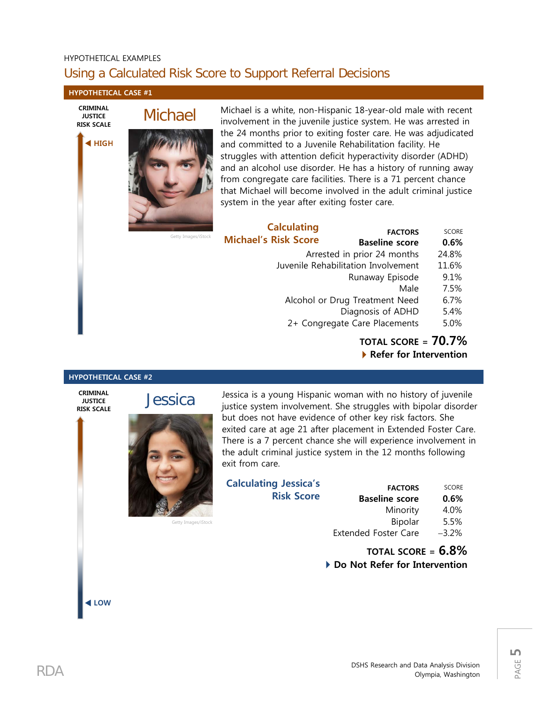### HYPOTHETICAL EXAMPLES Using a Calculated Risk Score to Support Referral Decisions

#### **HYPOTHETICAL CASE #1**

**CRIMINAL JUSTICE RISK SCALE**

**HIGH**

# Michael



Getty Images/iS

Michael is a white, non-Hispanic 18-year-old male with recent involvement in the juvenile justice system. He was arrested in the 24 months prior to exiting foster care. He was adjudicated and committed to a Juvenile Rehabilitation facility. He struggles with attention deficit hyperactivity disorder (ADHD) and an alcohol use disorder. He has a history of running away from congregate care facilities. There is a 71 percent chance that Michael will become involved in the adult criminal justice system in the year after exiting foster care.

|      | <b>Calculating</b>          | <b>FACTORS</b>                      | <b>SCORE</b> |
|------|-----------------------------|-------------------------------------|--------------|
| tock | <b>Michael's Risk Score</b> | <b>Baseline score</b>               | 0.6%         |
|      |                             | Arrested in prior 24 months         | 24.8%        |
|      |                             | Juvenile Rehabilitation Involvement | 11.6%        |
|      |                             | Runaway Episode                     | 9.1%         |
|      |                             | Male                                | 7.5%         |
|      |                             | Alcohol or Drug Treatment Need      | 6.7%         |
|      |                             | Diagnosis of ADHD                   | 5.4%         |
|      |                             | 2+ Congregate Care Placements       | 5.0%         |
|      |                             | TATAL CCADE                         | 70 70/       |

**TOTAL SCORE = 70.7% Refer for Intervention**

#### **HYPOTHETICAL CASE #2**

**CRIMINAL JUSTICE RISK SCALE**

**LOW**



**Jessica** 

Getty Images/iStock

Jessica is a young Hispanic woman with no history of juvenile justice system involvement. She struggles with bipolar disorder but does not have evidence of other key risk factors. She exited care at age 21 after placement in Extended Foster Care. There is a 7 percent chance she will experience involvement in the adult criminal justice system in the 12 months following exit from care.

| <b>Calculating Jessica's</b> |                   |
|------------------------------|-------------------|
|                              | <b>FAC</b>        |
| <b>Risk Score</b>            | <b>Baseline</b> s |
|                              | Min               |
|                              |                   |

| <b>FACTORS</b>              | <b>SCORE</b> |
|-----------------------------|--------------|
| <b>Baseline score</b>       | 0.6%         |
| Minority                    | 4.0%         |
| Bipolar                     | 5.5%         |
| <b>Extended Foster Care</b> | $-3.2\%$     |

### **TOTAL SCORE = 6.8%** ▶ Do Not Refer for Intervention

PAGE **5**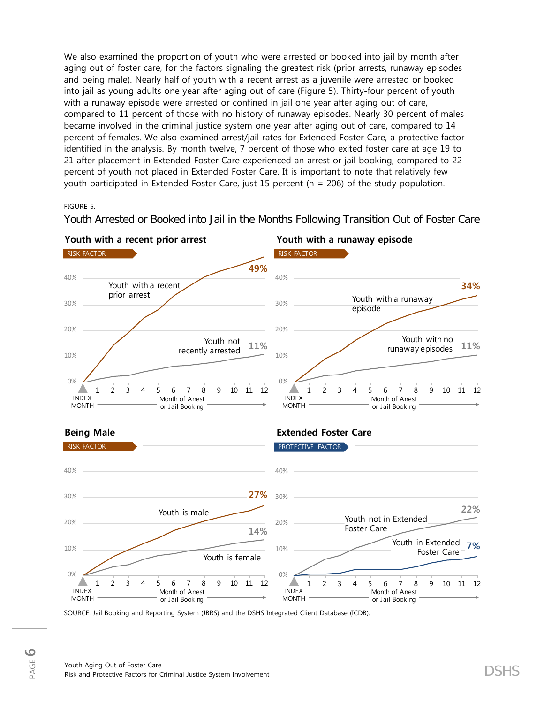We also examined the proportion of youth who were arrested or booked into jail by month after aging out of foster care, for the factors signaling the greatest risk (prior arrests, runaway episodes and being male). Nearly half of youth with a recent arrest as a juvenile were arrested or booked into jail as young adults one year after aging out of care (Figure 5). Thirty-four percent of youth with a runaway episode were arrested or confined in jail one year after aging out of care, compared to 11 percent of those with no history of runaway episodes. Nearly 30 percent of males became involved in the criminal justice system one year after aging out of care, compared to 14 percent of females. We also examined arrest/jail rates for Extended Foster Care, a protective factor identified in the analysis. By month twelve, 7 percent of those who exited foster care at age 19 to 21 after placement in Extended Foster Care experienced an arrest or jail booking, compared to 22 percent of youth not placed in Extended Foster Care. It is important to note that relatively few youth participated in Extended Foster Care, just 15 percent (n = 206) of the study population.

FIGURE 5.

Youth Arrested or Booked into Jail in the Months Following Transition Out of Foster Care





SOURCE: Jail Booking and Reporting System (JBRS) and the DSHS Integrated Client Database (ICDB).

**22%**

**7%**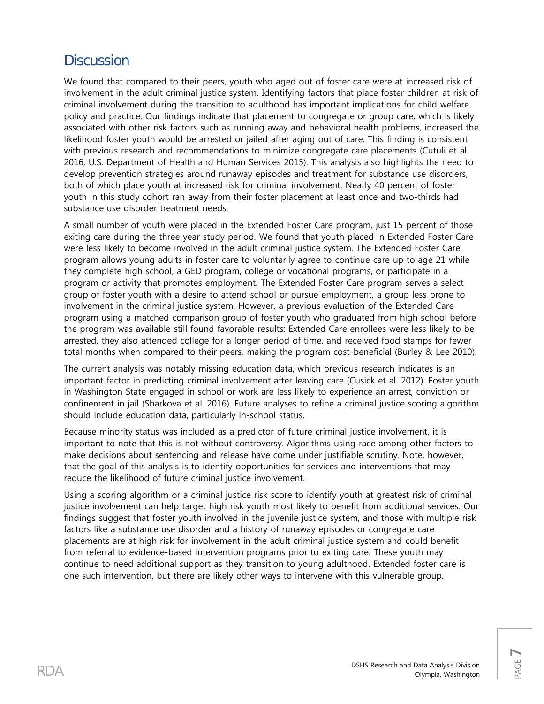## **Discussion**

We found that compared to their peers, youth who aged out of foster care were at increased risk of involvement in the adult criminal justice system. Identifying factors that place foster children at risk of criminal involvement during the transition to adulthood has important implications for child welfare policy and practice. Our findings indicate that placement to congregate or group care, which is likely associated with other risk factors such as running away and behavioral health problems, increased the likelihood foster youth would be arrested or jailed after aging out of care. This finding is consistent with previous research and recommendations to minimize congregate care placements (Cutuli et al. 2016, U.S. Department of Health and Human Services 2015). This analysis also highlights the need to develop prevention strategies around runaway episodes and treatment for substance use disorders, both of which place youth at increased risk for criminal involvement. Nearly 40 percent of foster youth in this study cohort ran away from their foster placement at least once and two-thirds had substance use disorder treatment needs.

A small number of youth were placed in the Extended Foster Care program, just 15 percent of those exiting care during the three year study period. We found that youth placed in Extended Foster Care were less likely to become involved in the adult criminal justice system. The Extended Foster Care program allows young adults in foster care to voluntarily agree to continue care up to age 21 while they complete high school, a GED program, college or vocational programs, or participate in a program or activity that promotes employment. The Extended Foster Care program serves a select group of foster youth with a desire to attend school or pursue employment, a group less prone to involvement in the criminal justice system. However, a previous evaluation of the Extended Care program using a matched comparison group of foster youth who graduated from high school before the program was available still found favorable results: Extended Care enrollees were less likely to be arrested, they also attended college for a longer period of time, and received food stamps for fewer total months when compared to their peers, making the program cost-beneficial (Burley & Lee 2010).

The current analysis was notably missing education data, which previous research indicates is an important factor in predicting criminal involvement after leaving care (Cusick et al. 2012). Foster youth in Washington State engaged in school or work are less likely to experience an arrest, conviction or confinement in jail (Sharkova et al. 2016). Future analyses to refine a criminal justice scoring algorithm should include education data, particularly in-school status.

Because minority status was included as a predictor of future criminal justice involvement, it is important to note that this is not without controversy. Algorithms using race among other factors to make decisions about sentencing and release have come under justifiable scrutiny. Note, however, that the goal of this analysis is to identify opportunities for services and interventions that may reduce the likelihood of future criminal justice involvement.

Using a scoring algorithm or a criminal justice risk score to identify youth at greatest risk of criminal justice involvement can help target high risk youth most likely to benefit from additional services. Our findings suggest that foster youth involved in the juvenile justice system, and those with multiple risk factors like a substance use disorder and a history of runaway episodes or congregate care placements are at high risk for involvement in the adult criminal justice system and could benefit from referral to evidence-based intervention programs prior to exiting care. These youth may continue to need additional support as they transition to young adulthood. Extended foster care is one such intervention, but there are likely other ways to intervene with this vulnerable group.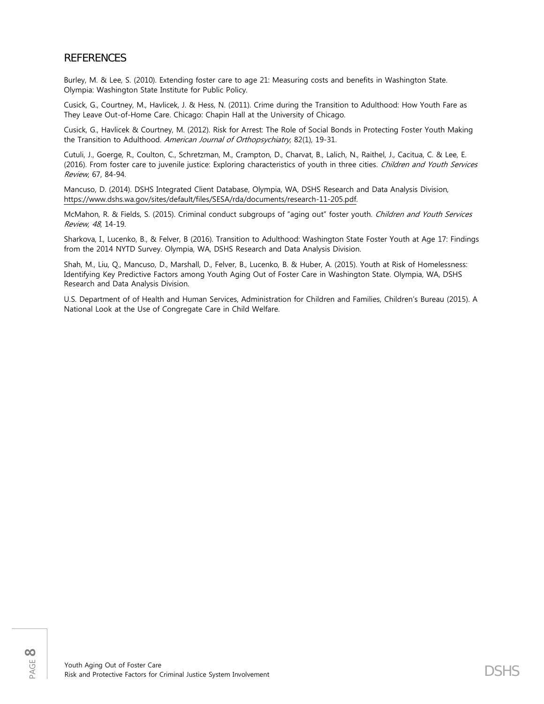### REFERENCES

Burley, M. & Lee, S. (2010). Extending foster care to age 21: Measuring costs and benefits in Washington State. Olympia: Washington State Institute for Public Policy.

Cusick, G., Courtney, M., Havlicek, J. & Hess, N. (2011). Crime during the Transition to Adulthood: How Youth Fare as They Leave Out-of-Home Care. Chicago: Chapin Hall at the University of Chicago.

Cusick, G., Havlicek & Courtney, M. (2012). Risk for Arrest: The Role of Social Bonds in Protecting Foster Youth Making the Transition to Adulthood. American Journal of Orthopsychiatry, 82(1), 19-31.

Cutuli, J., Goerge, R., Coulton, C., Schretzman, M., Crampton, D., Charvat, B., Lalich, N., Raithel, J., Cacitua, C. & Lee, E. (2016). From foster care to juvenile justice: Exploring characteristics of youth in three cities. Children and Youth Services Review, 67, 84-94.

Mancuso, D. (2014). DSHS Integrated Client Database, Olympia, WA, DSHS Research and Data Analysis Division, [https://www.dshs.wa.gov/sites/default/files/SESA/rda/documents/research-11-205.pdf.](https://www.dshs.wa.gov/sites/default/files/SESA/rda/documents/research-11-205.pdf)

McMahon, R. & Fields, S. (2015). Criminal conduct subgroups of "aging out" foster youth. Children and Youth Services Review, 48, 14-19.

Sharkova, I., Lucenko, B., & Felver, B (2016). Transition to Adulthood: Washington State Foster Youth at Age 17: Findings from the 2014 NYTD Survey. Olympia, WA, DSHS Research and Data Analysis Division.

Shah, M., Liu, Q., Mancuso, D., Marshall, D., Felver, B., Lucenko, B. & Huber, A. (2015). Youth at Risk of Homelessness: Identifying Key Predictive Factors among Youth Aging Out of Foster Care in Washington State. Olympia, WA, DSHS Research and Data Analysis Division.

U.S. Department of of Health and Human Services, Administration for Children and Families, Children's Bureau (2015). A National Look at the Use of Congregate Care in Child Welfare.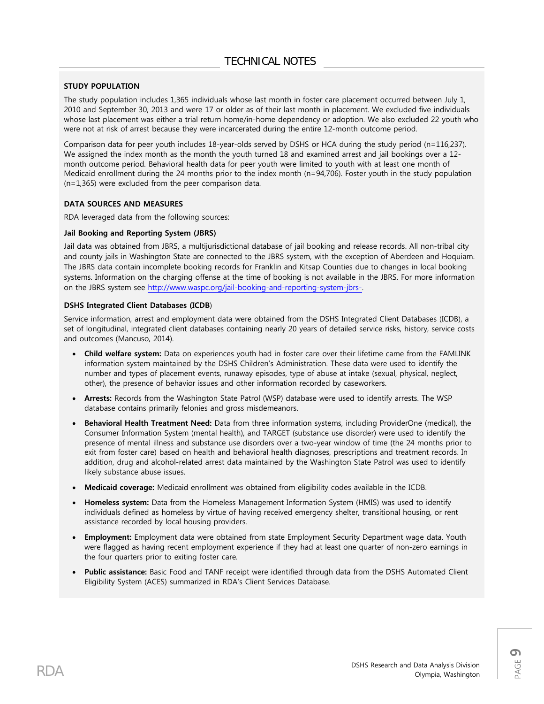### **STUDY POPULATION**

The study population includes 1,365 individuals whose last month in foster care placement occurred between July 1, 2010 and September 30, 2013 and were 17 or older as of their last month in placement. We excluded five individuals whose last placement was either a trial return home/in-home dependency or adoption. We also excluded 22 youth who were not at risk of arrest because they were incarcerated during the entire 12-month outcome period.

Comparison data for peer youth includes 18-year-olds served by DSHS or HCA during the study period (n=116,237). We assigned the index month as the month the youth turned 18 and examined arrest and jail bookings over a 12 month outcome period. Behavioral health data for peer youth were limited to youth with at least one month of Medicaid enrollment during the 24 months prior to the index month (n=94,706). Foster youth in the study population (n=1,365) were excluded from the peer comparison data.

#### **DATA SOURCES AND MEASURES**

RDA leveraged data from the following sources:

#### **Jail Booking and Reporting System (JBRS)**

Jail data was obtained from JBRS, a multijurisdictional database of jail booking and release records. All non-tribal city and county jails in Washington State are connected to the JBRS system, with the exception of Aberdeen and Hoquiam. The JBRS data contain incomplete booking records for Franklin and Kitsap Counties due to changes in local booking systems. Information on the charging offense at the time of booking is not available in the JBRS. For more information on the JBRS system see [http://www.waspc.org/jail-booking-and-reporting-system-jbrs-.](http://www.waspc.org/jail-booking-and-reporting-system-jbrs-)

#### **DSHS Integrated Client Databases (ICDB**)

Service information, arrest and employment data were obtained from the DSHS Integrated Client Databases (ICDB), a set of longitudinal, integrated client databases containing nearly 20 years of detailed service risks, history, service costs and outcomes (Mancuso, 2014).

- **Child welfare system:** Data on experiences youth had in foster care over their lifetime came from the FAMLINK information system maintained by the DSHS Children's Administration. These data were used to identify the number and types of placement events, runaway episodes, type of abuse at intake (sexual, physical, neglect, other), the presence of behavior issues and other information recorded by caseworkers.
- **Arrests:** Records from the Washington State Patrol (WSP) database were used to identify arrests. The WSP database contains primarily felonies and gross misdemeanors.
- **Behavioral Health Treatment Need:** Data from three information systems, including ProviderOne (medical), the Consumer Information System (mental health), and TARGET (substance use disorder) were used to identify the presence of mental illness and substance use disorders over a two-year window of time (the 24 months prior to exit from foster care) based on health and behavioral health diagnoses, prescriptions and treatment records. In addition, drug and alcohol-related arrest data maintained by the Washington State Patrol was used to identify likely substance abuse issues.
- **Medicaid coverage:** Medicaid enrollment was obtained from eligibility codes available in the ICDB.
- **Homeless system:** Data from the Homeless Management Information System (HMIS) was used to identify individuals defined as homeless by virtue of having received emergency shelter, transitional housing, or rent assistance recorded by local housing providers.
- **Employment:** Employment data were obtained from state Employment Security Department wage data. Youth were flagged as having recent employment experience if they had at least one quarter of non-zero earnings in the four quarters prior to exiting foster care.
- **Public assistance:** Basic Food and TANF receipt were identified through data from the DSHS Automated Client Eligibility System (ACES) summarized in RDA's Client Services Database.